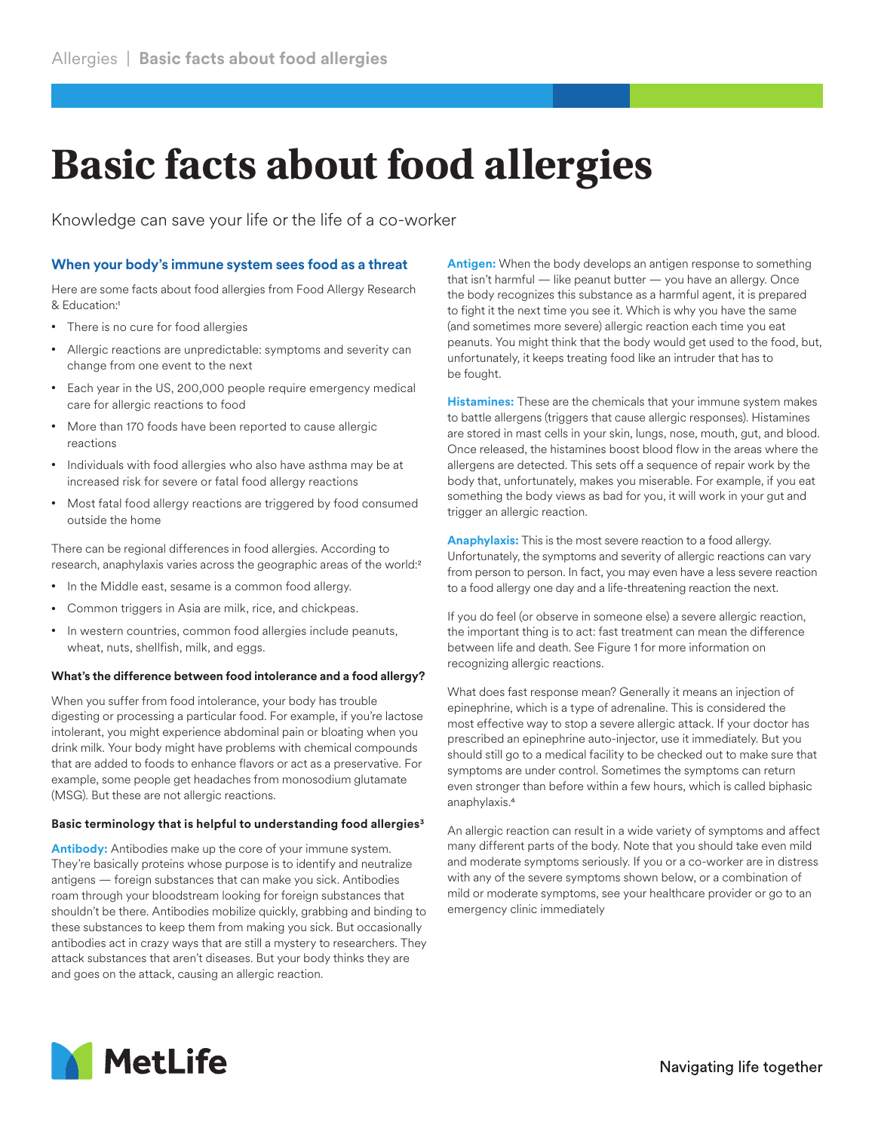# **Basic facts about food allergies**

Knowledge can save your life or the life of a co-worker

## **When your body's immune system sees food as a threat**

Here are some facts about food allergies from Food Allergy Research & Education:1

- There is no cure for food allergies
- Allergic reactions are unpredictable: symptoms and severity can change from one event to the next
- Each year in the US, 200,000 people require emergency medical care for allergic reactions to food
- More than 170 foods have been reported to cause allergic reactions
- Individuals with food allergies who also have asthma may be at increased risk for severe or fatal food allergy reactions
- Most fatal food allergy reactions are triggered by food consumed outside the home

There can be regional differences in food allergies. According to research, anaphylaxis varies across the geographic areas of the world:2

- In the Middle east, sesame is a common food allergy.
- Common triggers in Asia are milk, rice, and chickpeas.
- In western countries, common food allergies include peanuts, wheat, nuts, shellfish, milk, and eggs.

### **What's the difference between food intolerance and a food allergy?**

When you suffer from food intolerance, your body has trouble digesting or processing a particular food. For example, if you're lactose intolerant, you might experience abdominal pain or bloating when you drink milk. Your body might have problems with chemical compounds that are added to foods to enhance flavors or act as a preservative. For example, some people get headaches from monosodium glutamate (MSG). But these are not allergic reactions.

### **Basic terminology that is helpful to understanding food allergies3**

**Antibody:** Antibodies make up the core of your immune system. They're basically proteins whose purpose is to identify and neutralize antigens — foreign substances that can make you sick. Antibodies roam through your bloodstream looking for foreign substances that shouldn't be there. Antibodies mobilize quickly, grabbing and binding to these substances to keep them from making you sick. But occasionally antibodies act in crazy ways that are still a mystery to researchers. They attack substances that aren't diseases. But your body thinks they are and goes on the attack, causing an allergic reaction.

**Antigen:** When the body develops an antigen response to something that isn't harmful — like peanut butter — you have an allergy. Once the body recognizes this substance as a harmful agent, it is prepared to fight it the next time you see it. Which is why you have the same (and sometimes more severe) allergic reaction each time you eat peanuts. You might think that the body would get used to the food, but, unfortunately, it keeps treating food like an intruder that has to be fought.

**Histamines:** These are the chemicals that your immune system makes to battle allergens (triggers that cause allergic responses). Histamines are stored in mast cells in your skin, lungs, nose, mouth, gut, and blood. Once released, the histamines boost blood flow in the areas where the allergens are detected. This sets off a sequence of repair work by the body that, unfortunately, makes you miserable. For example, if you eat something the body views as bad for you, it will work in your gut and trigger an allergic reaction.

**Anaphylaxis:** This is the most severe reaction to a food allergy. Unfortunately, the symptoms and severity of allergic reactions can vary from person to person. In fact, you may even have a less severe reaction to a food allergy one day and a life-threatening reaction the next.

If you do feel (or observe in someone else) a severe allergic reaction, the important thing is to act: fast treatment can mean the difference between life and death. See Figure 1 for more information on recognizing allergic reactions.

What does fast response mean? Generally it means an injection of epinephrine, which is a type of adrenaline. This is considered the most effective way to stop a severe allergic attack. If your doctor has prescribed an epinephrine auto-injector, use it immediately. But you should still go to a medical facility to be checked out to make sure that symptoms are under control. Sometimes the symptoms can return even stronger than before within a few hours, which is called biphasic anaphylaxis.4

An allergic reaction can result in a wide variety of symptoms and affect many different parts of the body. Note that you should take even mild and moderate symptoms seriously. If you or a co-worker are in distress with any of the severe symptoms shown below, or a combination of mild or moderate symptoms, see your healthcare provider or go to an emergency clinic immediately